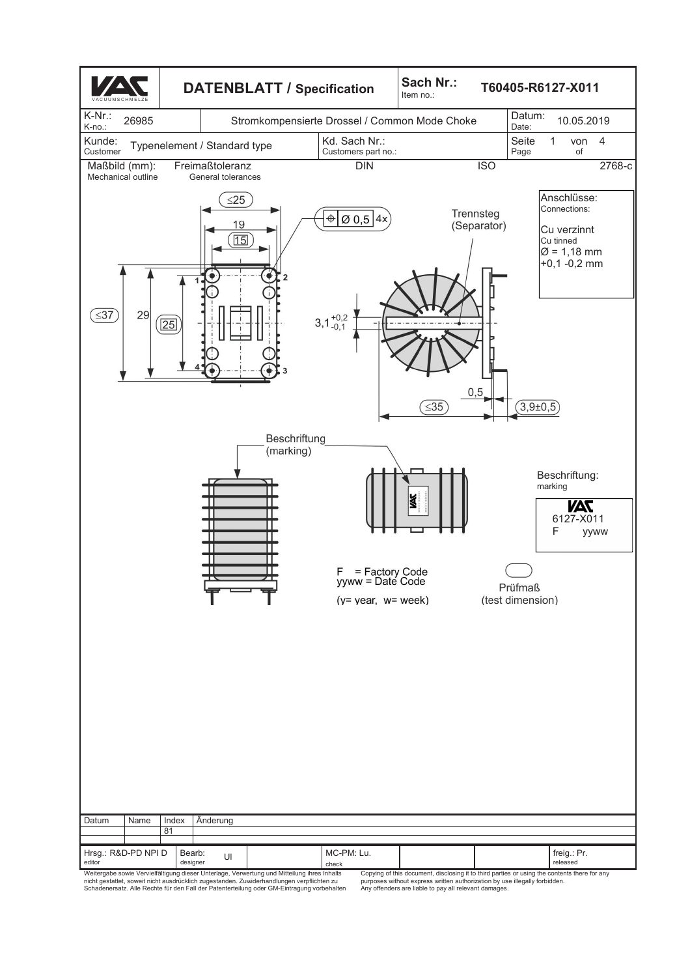

Copying of this document, disclosing it to third parties or using the contents there for any purposes without express written authorization by use illegally forbidden. Any offenders are liable to pay all relevant damages.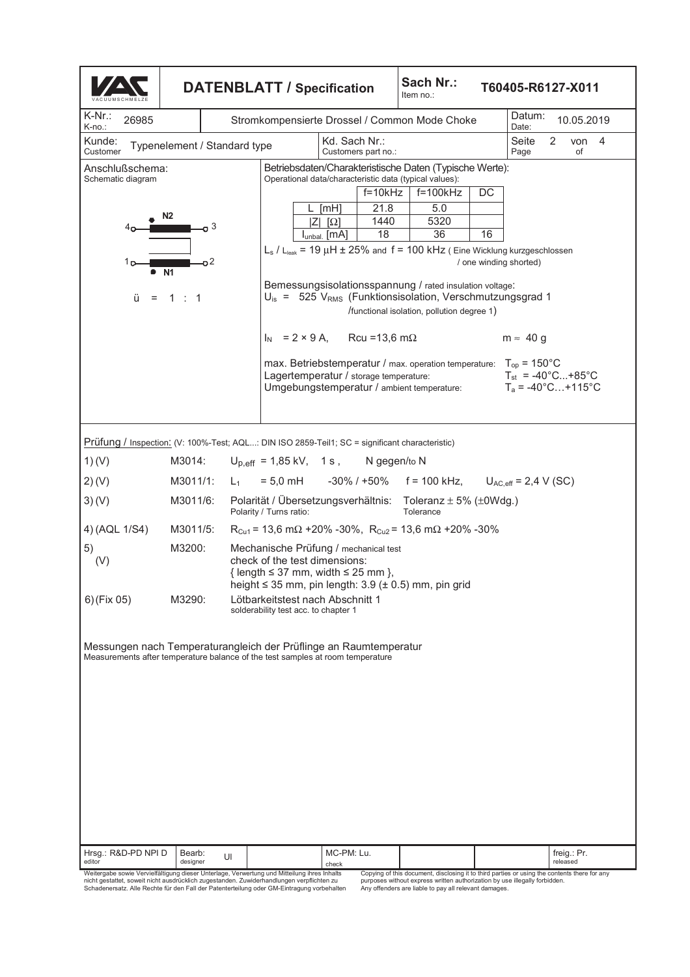| Sach Nr.:<br><b>DATENBLATT / Specification</b><br>Item no.:                                                                                               |                                               |                                                                                                                                                                                          |  |                                      |                                                                                                                                                                                            |           |                        |                        | T60405-R6127-X011                                                                    |   |                         |         |  |
|-----------------------------------------------------------------------------------------------------------------------------------------------------------|-----------------------------------------------|------------------------------------------------------------------------------------------------------------------------------------------------------------------------------------------|--|--------------------------------------|--------------------------------------------------------------------------------------------------------------------------------------------------------------------------------------------|-----------|------------------------|------------------------|--------------------------------------------------------------------------------------|---|-------------------------|---------|--|
| K-Nr.:<br>26985<br>K-no.:                                                                                                                                 | Stromkompensierte Drossel / Common Mode Choke |                                                                                                                                                                                          |  |                                      |                                                                                                                                                                                            |           |                        |                        | Datum:<br>10.05.2019<br>Date:                                                        |   |                         |         |  |
| Kunde:<br>Typenelement / Standard type<br>Customer                                                                                                        |                                               |                                                                                                                                                                                          |  | Kd. Sach Nr.:<br>Customers part no.: |                                                                                                                                                                                            |           |                        |                        | Seite<br>Page                                                                        | 2 | of                      | von $4$ |  |
| Betriebsdaten/Charakteristische Daten (Typische Werte):<br>Anschlußschema:<br>Operational data/characteristic data (typical values):<br>Schematic diagram |                                               |                                                                                                                                                                                          |  |                                      |                                                                                                                                                                                            |           |                        |                        |                                                                                      |   |                         |         |  |
|                                                                                                                                                           |                                               |                                                                                                                                                                                          |  |                                      | $f = 10k$ Hz                                                                                                                                                                               |           | $\overline{f}$ =100kHz | DC                     |                                                                                      |   |                         |         |  |
|                                                                                                                                                           | N2                                            |                                                                                                                                                                                          |  | [mH]<br>$ Z $ $ \Omega $             | 21.8<br>1440                                                                                                                                                                               |           | 5.0<br>5320            |                        |                                                                                      |   |                         |         |  |
|                                                                                                                                                           | 3                                             |                                                                                                                                                                                          |  | Iunbal. [MA]                         | 18                                                                                                                                                                                         |           | 36                     | 16                     |                                                                                      |   |                         |         |  |
| ה 1                                                                                                                                                       | o2                                            |                                                                                                                                                                                          |  |                                      | $L_s$ / $L_{leak}$ = 19 $\mu$ H $\pm$ 25% and f = 100 kHz (Eine Wicklung kurzgeschlossen                                                                                                   |           |                        | / one winding shorted) |                                                                                      |   |                         |         |  |
| ü                                                                                                                                                         | • N1<br>$= 1 : 1$                             |                                                                                                                                                                                          |  |                                      | Bemessungsisolationsspannung / rated insulation voltage:<br>$U_{\text{is}} = 525$ V <sub>RMS</sub> (Funktionsisolation, Verschmutzungsgrad 1<br>/functional isolation, pollution degree 1) |           |                        |                        |                                                                                      |   |                         |         |  |
|                                                                                                                                                           |                                               |                                                                                                                                                                                          |  |                                      | $I_N = 2 \times 9$ A, Rcu = 13,6 m $\Omega$                                                                                                                                                |           |                        |                        | $m \approx 40 g$                                                                     |   |                         |         |  |
|                                                                                                                                                           |                                               |                                                                                                                                                                                          |  |                                      | max. Betriebstemperatur / max. operation temperature:<br>Lagertemperatur / storage temperature:<br>Umgebungstemperatur / ambient temperature:                                              |           |                        |                        | $T_{op}$ = 150 $^{\circ}$ C<br>$T_{st}$ = -40°C+85°C<br>$T_a = -40^{\circ}$ C +115°C |   |                         |         |  |
| Prüfung / Inspection: (V: 100%-Test; AQL: DIN ISO 2859-Teil1; SC = significant characteristic)                                                            |                                               |                                                                                                                                                                                          |  |                                      |                                                                                                                                                                                            |           |                        |                        |                                                                                      |   |                         |         |  |
| 1)(V)                                                                                                                                                     | M3014:                                        | $U_{p,eff}$ = 1,85 kV, 1 s, N gegen/to N                                                                                                                                                 |  |                                      |                                                                                                                                                                                            |           |                        |                        |                                                                                      |   |                         |         |  |
| 2) (V)                                                                                                                                                    | M3011/1:                                      | $L_1$                                                                                                                                                                                    |  |                                      | $= 5.0$ mH $-30\%$ / +50% f = 100 kHz, U <sub>AC,eff</sub> = 2,4 V (SC)                                                                                                                    |           |                        |                        |                                                                                      |   |                         |         |  |
| 3)(V)                                                                                                                                                     | M3011/6:                                      | Polarität / Übersetzungsverhältnis: Toleranz ± 5% (±0Wdg.)<br>Polarity / Turns ratio:                                                                                                    |  |                                      |                                                                                                                                                                                            | Tolerance |                        |                        |                                                                                      |   |                         |         |  |
| 4) (AQL 1/S4)                                                                                                                                             | M3011/5:                                      | $R_{Cu1}$ = 13,6 m $\Omega$ +20% -30%, $R_{Cu2}$ = 13,6 m $\Omega$ +20% -30%                                                                                                             |  |                                      |                                                                                                                                                                                            |           |                        |                        |                                                                                      |   |                         |         |  |
| 5)<br>(V)                                                                                                                                                 | M3200:                                        | Mechanische Prüfung / mechanical test<br>check of the test dimensions:<br>{ length $\leq$ 37 mm, width $\leq$ 25 mm },<br>height $\leq$ 35 mm, pin length: 3.9 ( $\pm$ 0.5) mm, pin grid |  |                                      |                                                                                                                                                                                            |           |                        |                        |                                                                                      |   |                         |         |  |
| $6)$ (Fix 05)                                                                                                                                             | M3290:                                        | Lötbarkeitstest nach Abschnitt 1<br>solderability test acc. to chapter 1                                                                                                                 |  |                                      |                                                                                                                                                                                            |           |                        |                        |                                                                                      |   |                         |         |  |
| Messungen nach Temperaturangleich der Prüflinge an Raumtemperatur<br>Measurements after temperature balance of the test samples at room temperature       |                                               |                                                                                                                                                                                          |  |                                      |                                                                                                                                                                                            |           |                        |                        |                                                                                      |   |                         |         |  |
| Hrsg.: R&D-PD NPI D<br>editor                                                                                                                             | Bearb:<br>designer                            | UI                                                                                                                                                                                       |  | MC-PM: Lu.<br>check                  |                                                                                                                                                                                            |           |                        |                        |                                                                                      |   | freig.: Pr.<br>released |         |  |
| Weitergabe sowie Vervielfältigung dieser Unterlage, Verwertung und Mitteilung ihres Inhalts                                                               |                                               |                                                                                                                                                                                          |  |                                      | Copying of this document, disclosing it to third parties or using the contents there for any                                                                                               |           |                        |                        |                                                                                      |   |                         |         |  |

Copying of this document, disclosing it to third parties or using the contents there for any<br>purposes without express written authorization by use illegally forbidden.<br>Any offenders are liable to pay all relevant damages.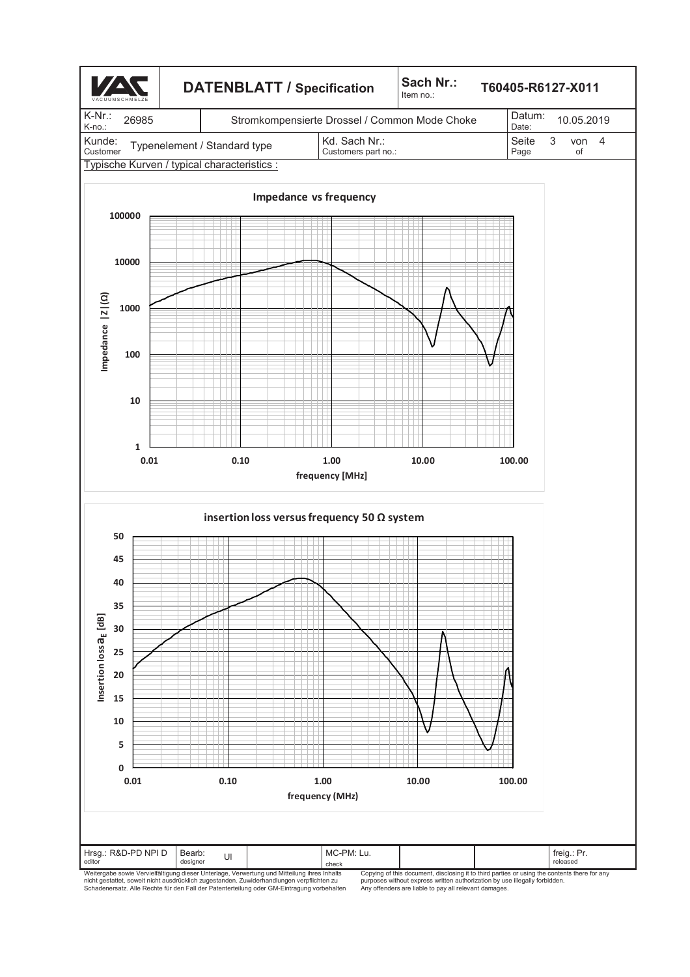

Copying of this document, disclosing it to third parties or using the contents there for any purposes without express written authorization by use illegally forbidden. Any offenders are liable to pay all relevant damages.